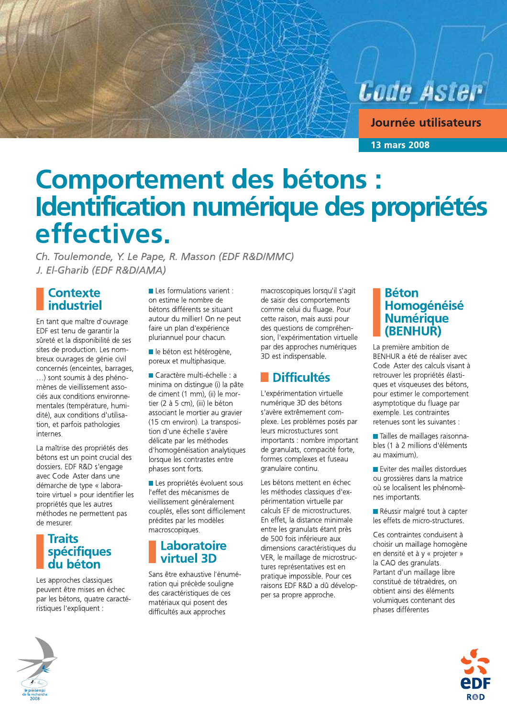**Code Aster** 

Journée utilisateurs

**13 mars 2008** 

# Comportement des bétons :<br>Identification numérique des propriétés effectives.

Ch. Toulemonde, Y. Le Pape, R. Masson (EDF R&D/MMC) J. El-Gharib (EDF R&D/AMA)

**Contexte** industriel

En tant que maître d'ouvrage EDF est tenu de garantir la sûreté et la disponibilité de ses sites de production. Les nombreux ouvrages de génie civil concernés (enceintes, barrages, ...) sont soumis à des phénomènes de vieillissement associés aux conditions environnementales (température, humidité), aux conditions d'utilisation, et parfois pathologies internes

La maîtrise des propriétés des bétons est un point crucial des dossiers. EDF R&D s'engage avec Code Aster dans une démarche de type « laboratoire virtuel » pour identifier les propriétés que les autres méthodes ne permettent pas de mesurer.

# **Traits** spécifiques<br>du béton

Les approches classiques peuvent être mises en échec par les bétons, quatre caractéristiques l'expliquent :

 $\blacksquare$  Les formulations varient : on estime le nombre de bétons différents se situant autour du millier! On ne peut faire un plan d'expérience pluriannuel pour chacun.

le béton est hétérogène. poreux et multiphasique.

Caractère multi-échelle : a minima on distingue (i) la pâte de ciment (1 mm), (ii) le mortier (2 à 5 cm), (iii) le béton associant le mortier au gravier (15 cm environ). La transposition d'une échelle s'avère délicate par les méthodes d'homogénéisation analytiques lorsque les contrastes entre phases sont forts.

Les propriétés évoluent sous l'effet des mécanismes de vieillissement généralement couplés, elles sont difficilement prédites par les modèles macroscopiques.

### Laboratoire virtuel 3D

Sans être exhaustive l'énumération qui précède souligne des caractéristiques de ces matériaux qui posent des difficultés aux approches

macroscopiques lorsqu'il s'agit de saisir des comportements comme celui du fluage. Pour cette raison, mais aussi pour des questions de compréhension. l'expérimentation virtuelle par des approches numériques 3D est indispensable.

## **Difficultés**

L'expérimentation virtuelle numérique 3D des bétons s'avère extrêmement complexe. Les problèmes posés par leurs microstuctures sont importants : nombre important de granulats, compacité forte, formes complexes et fuseau granulaire continu.

Les bétons mettent en échec les méthodes classiques d'expérimentation virtuelle par calculs EF de microstructures. En effet, la distance minimale entre les granulats étant près de 500 fois inférieure aux dimensions caractéristiques du VER, le maillage de microstructures représentatives est en pratique impossible. Pour ces raisons EDF R&D a dû développer sa propre approche.

#### **Béton** Homogénéisé **Numérique** (BENHUR)

La première ambition de BENHUR a été de réaliser avec Code Aster des calculs visant à retrouver les propriétés élastiques et visqueuses des bétons, pour estimer le comportement asymptotique du fluage par exemple. Les contraintes retenues sont les suivantes :

Tailles de maillages raisonnables (1 à 2 millions d'éléments au maximum).

Eviter des mailles distordues ou grossières dans la matrice où se localisent les phénomènes importants.

Réussir malgré tout à capter les effets de micro-structures.

Ces contraintes conduisent à choisir un maillage homogène en densité et à y « projeter » la CAO des granulats. Partant d'un maillage libre constitué de tétraèdres, on obtient ainsi des éléments volumiques contenant des phases différentes